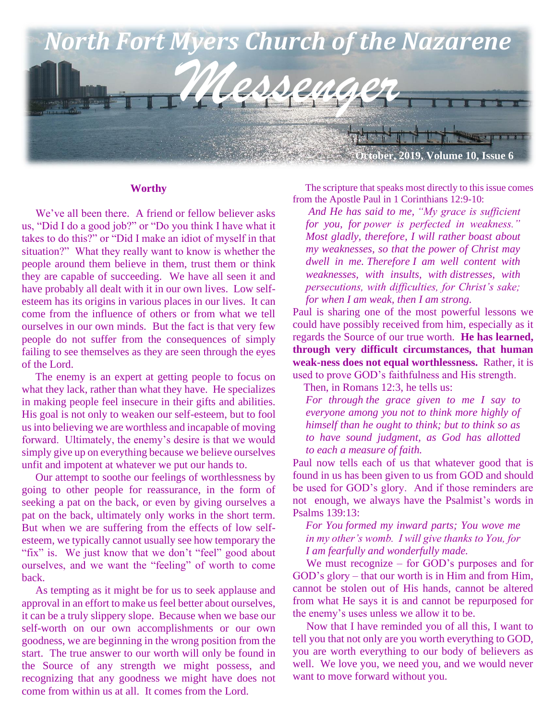

#### **Worthy**

We've all been there. A friend or fellow believer asks us, "Did I do a good job?" or "Do you think I have what it takes to do this?" or "Did I make an idiot of myself in that situation?" What they really want to know is whether the people around them believe in them, trust them or think they are capable of succeeding. We have all seen it and have probably all dealt with it in our own lives. Low selfesteem has its origins in various places in our lives. It can come from the influence of others or from what we tell ourselves in our own minds. But the fact is that very few people do not suffer from the consequences of simply failing to see themselves as they are seen through the eyes of the Lord.

 The enemy is an expert at getting people to focus on what they lack, rather than what they have. He specializes in making people feel insecure in their gifts and abilities. His goal is not only to weaken our self-esteem, but to fool us into believing we are worthless and incapable of moving forward. Ultimately, the enemy's desire is that we would simply give up on everything because we believe ourselves unfit and impotent at whatever we put our hands to.

 Our attempt to soothe our feelings of worthlessness by going to other people for reassurance, in the form of seeking a pat on the back, or even by giving ourselves a pat on the back, ultimately only works in the short term. But when we are suffering from the effects of low selfesteem, we typically cannot usually see how temporary the "fix" is. We just know that we don't "feel" good about ourselves, and we want the "feeling" of worth to come back.

 As tempting as it might be for us to seek applause and approval in an effort to make us feel better about ourselves, it can be a truly slippery slope. Because when we base our self-worth on our own accomplishments or our own goodness, we are beginning in the wrong position from the start. The true answer to our worth will only be found in the Source of any strength we might possess, and recognizing that any goodness we might have does not come from within us at all. It comes from the Lord.

 The scripture that speaks most directly to this issue comes from the Apostle Paul in 1 Corinthians 12:9-10:

*And He has said to me, "My grace is sufficient for you, for power is perfected in weakness." Most gladly, therefore, I will rather boast about my weaknesses, so that the power of Christ may dwell in me. Therefore I am well content with weaknesses, with insults, with distresses, with persecutions, with difficulties, for Christ's sake; for when I am weak, then I am strong.*

Paul is sharing one of the most powerful lessons we could have possibly received from him, especially as it regards the Source of our true worth. **He has learned, through very difficult circumstances, that human weak-ness does not equal worthlessness.** Rather, it is used to prove GOD's faithfulness and His strength.

Then, in Romans 12:3, he tells us:

*For through the grace given to me I say to everyone among you not to think more highly of himself than he ought to think; but to think so as to have sound judgment, as God has allotted to each a measure of faith.*

Paul now tells each of us that whatever good that is found in us has been given to us from GOD and should be used for GOD's glory. And if those reminders are not enough, we always have the Psalmist's words in Psalms 139:13:

*For You formed my inward parts; You wove me in my other's womb. I will give thanks to You, for I am fearfully and wonderfully made.*

We must recognize – for GOD's purposes and for GOD's glory – that our worth is in Him and from Him, cannot be stolen out of His hands, cannot be altered from what He says it is and cannot be repurposed for the enemy's uses unless we allow it to be.

 Now that I have reminded you of all this, I want to tell you that not only are you worth everything to GOD, you are worth everything to our body of believers as well. We love you, we need you, and we would never want to move forward without you.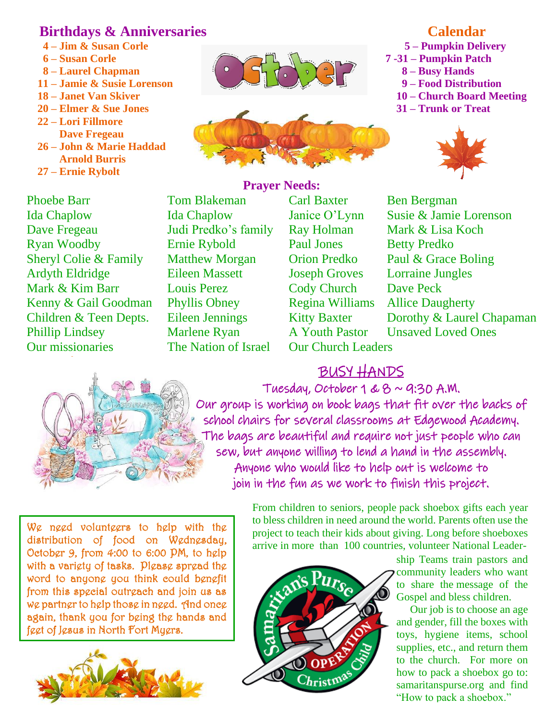## **Birthdays & Anniversaries**

- **4 – Jim & Susan Corle**
- **6 – Susan Corle**
- **8 – Laurel Chapman**
- **11 – Jamie & Susie Lorenson**
- **18 – Janet Van Skiver**
- **20 – Elmer & Sue Jones**
- **22 – Lori Fillmore Dave Fregeau**
- **26 – John & Marie Haddad Arnold Burris**
- **27 – Ernie Rybolt**

Phoebe Barr Tom Blakeman Carl Baxter Ben Bergman Dave Fregeau Judi Predko's family Ray Holman Mark & Lisa Koch Ryan Woodby Ernie Rybold Paul Jones Betty Predko Sheryl Colie & Family Matthew Morgan Orion Predko Paul & Grace Boling Ardyth Eldridge Eileen Massett Joseph Groves Lorraine Jungles Mark & Kim Barr Louis Perez Cody Church Dave Peck Kenny & Gail Goodman Phyllis Obney Regina Williams Allice Daugherty Phillip Lindsey Marlene Ryan A Youth Pastor Unsaved Loved Ones Our missionaries The Nation of Israel Our Church Leaders



## **Prayer Needs:**

Ida Chaplow Ida Chaplow Janice O'Lynn Susie & Jamie Lorenson Children & Teen Depts. Eileen Jennings Kitty Baxter Dorothy & Laurel Chapaman

# BUSY HANDS



Tuesday, October  $1 & 8 \sim 9:30$  A.M. Our group is working on book bags that fit over the backs of school chairs for several classrooms at Edgewood Academy. The bags are beautiful and require not just people who can sew, but anyone willing to lend a hand in the assembly. Anyone who would like to help out is welcome to join in the fun as we work to finish this project.

We need volunteers to help with the distribution of food on Wednesday, October 9, from 4:00 to 6:00 PM, to help with a variety of tasks. Please spread the word to anyone you think could benefit from this special outreach and join us as we partner to help those in need. And once again, thank you for being the hands and feet of Jesus in North Fort Myers.



From children to seniors, people [pack shoebox gifts each](https://www.samaritanspurse.org/operation-christmas-child/pack-a-shoe-box/) year to bless children in need around the world. Parents often use the project to teach their kids about giving. Long before shoeboxes arrive in more than 100 countries, volunteer National Leader-



ship Teams train pastors and community leaders who want to share the [message of the](https://www.samaritanspurse.org/operation-christmas-child/eternal-impact/)  [Gospel](https://www.samaritanspurse.org/operation-christmas-child/eternal-impact/) and bless children.

Our job is to choose an age and gender, fill the boxes with toys, hygiene items, school supplies, etc., and return them to the church. For more on how to pack a shoebox go to: samaritanspurse.org and find "How to pack a shoebox."

## **Calendar**

 **5 – Pumpkin Delivery 7 -31 – Pumpkin Patch 8 – Busy Hands 9 – Food Distribution 10 – Church Board Meeting 31 – Trunk or Treat**

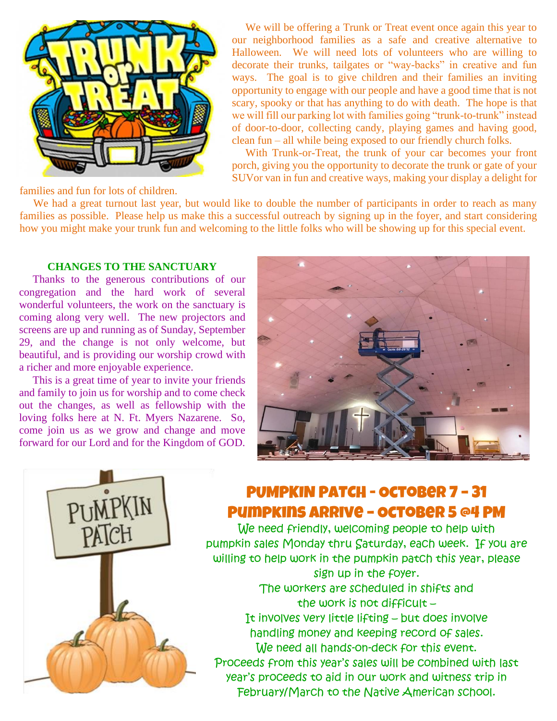

 We will be offering a Trunk or Treat event once again this year to our neighborhood families as a safe and creative alternative to Halloween. We will need lots of volunteers who are willing to decorate their trunks, tailgates or "way-backs" in creative and fun ways. The goal is to give children and their families an inviting opportunity to engage with our people and have a good time that is not scary, spooky or that has anything to do with death. The hope is that we will fill our parking lot with families going "trunk-to-trunk" instead of door-to-door, collecting candy, playing games and having good, clean fun – all while being exposed to our friendly church folks.

 With Trunk-or-Treat, the trunk of your car becomes your front porch, giving you the opportunity to decorate the trunk or gate of your SUVor van in fun and creative ways, making your display a delight for

families and fun for lots of children.

We had a great turnout last year, but would like to double the number of participants in order to reach as many families as possible. Please help us make this a successful outreach by signing up in the foyer, and start considering how you might make your trunk fun and welcoming to the little folks who will be showing up for this special event.

#### **CHANGES TO THE SANCTUARY**

 Thanks to the generous contributions of our congregation and the hard work of several wonderful volunteers, the work on the sanctuary is coming along very well. The new projectors and screens are up and running as of Sunday, September 29, and the change is not only welcome, but beautiful, and is providing our worship crowd with a richer and more enjoyable experience.

 This is a great time of year to invite your friends and family to join us for worship and to come check out the changes, as well as fellowship with the loving folks here at N. Ft. Myers Nazarene. So, come join us as we grow and change and move forward for our Lord and for the Kingdom of GOD.





## PUMPKIN PATCH - October 7 – 31 Pumpkins arrive – October 5 @4 PM

We need friendly, welcoming people to help with pumpkin sales Monday thru Saturday, each week. If you are willing to help work in the pumpkin patch this year, please sign up in the foyer. The workers are scheduled in shifts and the work is not difficult – It involves very little lifting – but does involve handling money and keeping record of sales. We need all hands-on-deck for this event. Proceeds from this year's sales will be combined with last year's proceeds to aid in our work and witness trip in February/March to the Native American school.